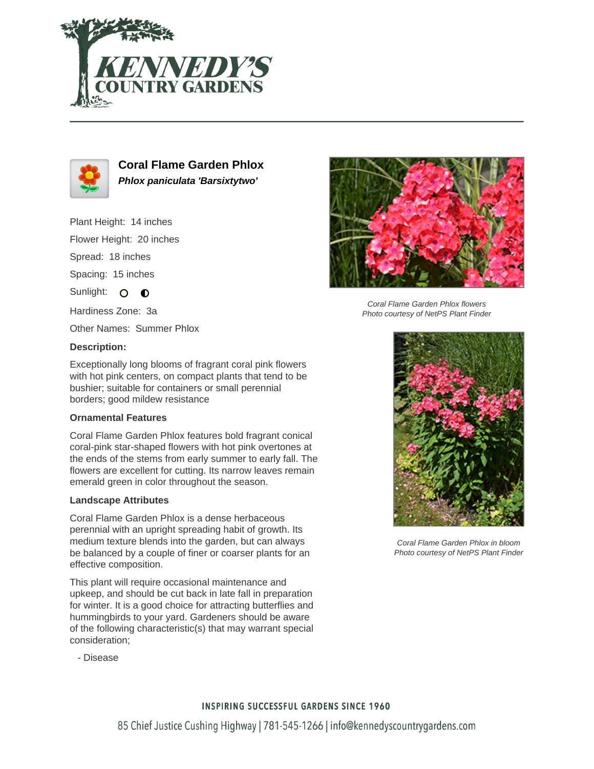



**Coral Flame Garden Phlox Phlox paniculata 'Barsixtytwo'**

Plant Height: 14 inches

Flower Height: 20 inches

Spread: 18 inches

Spacing: 15 inches

Sunlight: O **O** 

Hardiness Zone: 3a

Other Names: Summer Phlox

## **Description:**

Exceptionally long blooms of fragrant coral pink flowers with hot pink centers, on compact plants that tend to be bushier; suitable for containers or small perennial borders; good mildew resistance

### **Ornamental Features**

Coral Flame Garden Phlox features bold fragrant conical coral-pink star-shaped flowers with hot pink overtones at the ends of the stems from early summer to early fall. The flowers are excellent for cutting. Its narrow leaves remain emerald green in color throughout the season.

#### **Landscape Attributes**

Coral Flame Garden Phlox is a dense herbaceous perennial with an upright spreading habit of growth. Its medium texture blends into the garden, but can always be balanced by a couple of finer or coarser plants for an effective composition.

This plant will require occasional maintenance and upkeep, and should be cut back in late fall in preparation for winter. It is a good choice for attracting butterflies and hummingbirds to your yard. Gardeners should be aware of the following characteristic(s) that may warrant special consideration;



Coral Flame Garden Phlox flowers Photo courtesy of NetPS Plant Finder



Coral Flame Garden Phlox in bloom Photo courtesy of NetPS Plant Finder

- Disease

## **INSPIRING SUCCESSFUL GARDENS SINCE 1960**